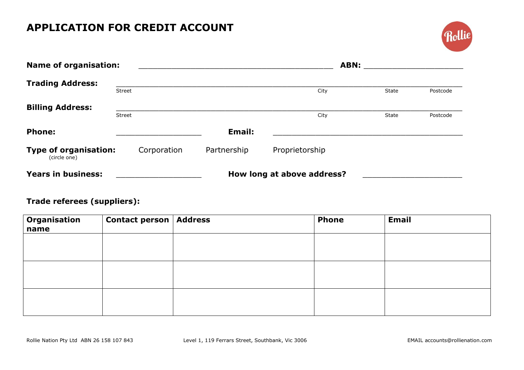## **APPLICATION FOR CREDIT ACCOUNT**



| <b>Name of organisation:</b>                 |        | <b>ABN:</b> |             |                            |       |          |
|----------------------------------------------|--------|-------------|-------------|----------------------------|-------|----------|
| <b>Trading Address:</b>                      | Street |             |             | City                       | State | Postcode |
| <b>Billing Address:</b>                      | Street |             |             | City                       | State | Postcode |
| <b>Phone:</b>                                |        |             | Email:      |                            |       |          |
| <b>Type of organisation:</b><br>(circle one) |        | Corporation | Partnership | Proprietorship             |       |          |
| <b>Years in business:</b>                    |        |             |             | How long at above address? |       |          |

## **Trade referees (suppliers):**

| Organisation<br>name | <b>Contact person   Address</b> | <b>Phone</b> | <b>Email</b> |
|----------------------|---------------------------------|--------------|--------------|
|                      |                                 |              |              |
|                      |                                 |              |              |
|                      |                                 |              |              |
|                      |                                 |              |              |
|                      |                                 |              |              |
|                      |                                 |              |              |